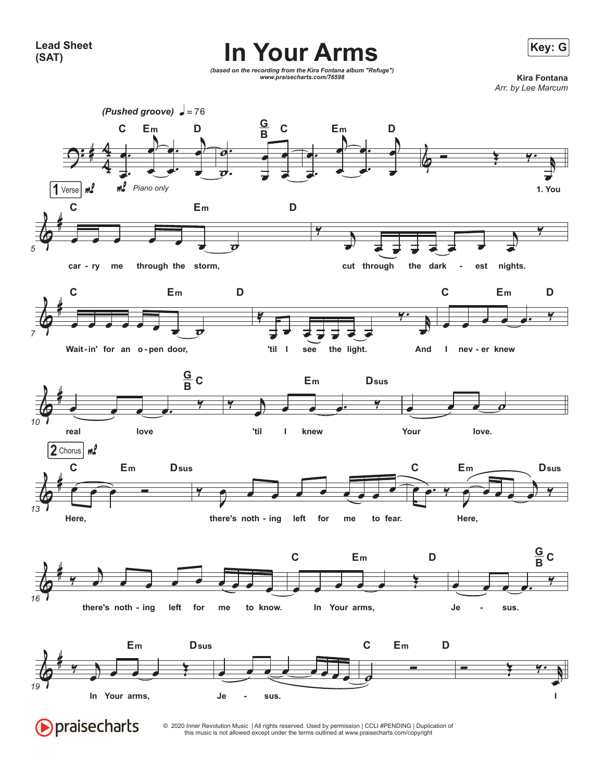

*(based on the recording from the Kira Fontana album "Refuge") www.praisecharts.com/76598* **Kira Fontana**

*Arr. by Lee Marcum*



© 2020 Inner Revolution Music | All rights reserved. Used by permission | CCLI #PENDING | Duplication of this music is not allowed except under the terms outlined at www.praisecharts.com/copyright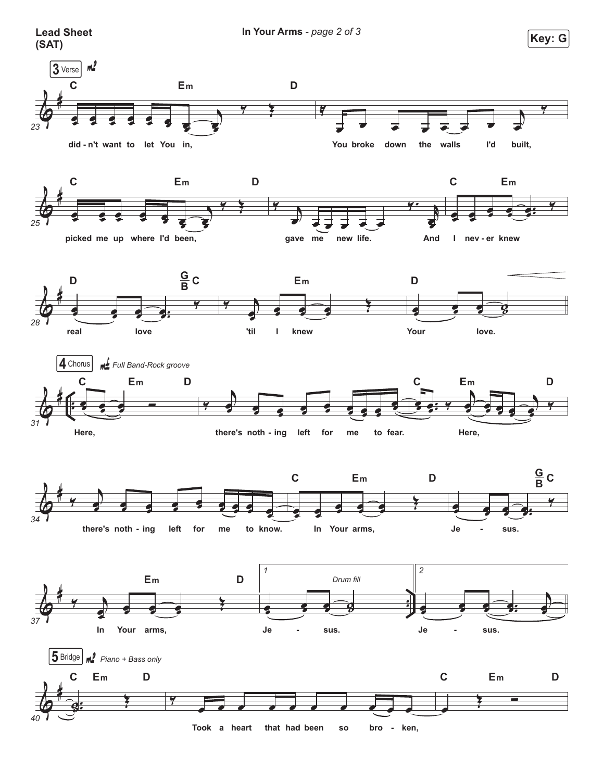